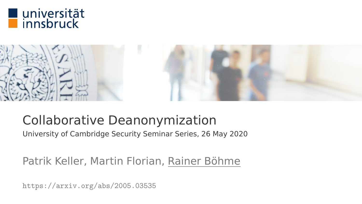



### Collaborative Deanonymization

University of Cambridge Security Seminar Series, 26 May 2020

Patrik Keller, Martin Florian, Rainer Böhme

<https://arxiv.org/abs/2005.03535>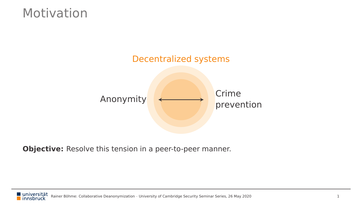#### Motivation



**Objective:** Resolve this tension in a peer-to-peer manner.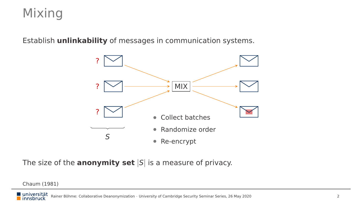### Mixing

Establish **unlinkability** of messages in communication systems.



The size of the **anonymity set** |S| is a measure of privacy.

Chaum (1981)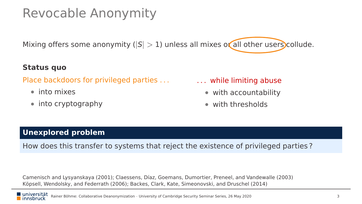### Revocable Anonymity

Mixing offers some anonymity ( $|S| > 1$ ) unless all mixes or all other users collude.

#### **Status quo**

Place backdoors for privileged parties . . .

- into mixes
- into cryptography

#### . . . while limiting abuse

- with accountability
- with thresholds

#### **Unexplored problem**

How does this transfer to systems that reject the existence of privileged parties ?

Camenisch and Lysyanskaya (2001); Claessens, Díaz, Goemans, Dumortier, Preneel, and Vandewalle (2003) Köpsell, Wendolsky, and Federrath (2006); Backes, Clark, Kate, Simeonovski, and Druschel (2014)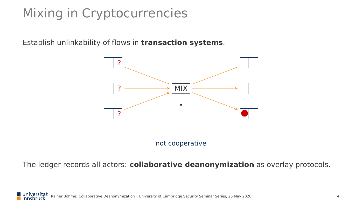# Mixing in Cryptocurrencies

Establish unlinkability of flows in **transaction systems**.



The ledger records all actors: **collaborative deanonymization** as overlay protocols.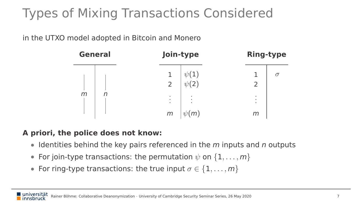# Types of Mixing Transactions Considered

in the UTXO model adopted in Bitcoin and Monero



#### **A priori, the police does not know:**

- $\bullet$  Identities behind the key pairs referenced in the m inputs and n outputs
- For join-type transactions: the permutation  $\psi$  on  $\{1,\ldots,m\}$
- For ring-type transactions: the true input  $\sigma \in \{1, \ldots, m\}$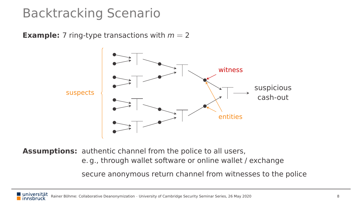### Backtracking Scenario

**Example:** 7 ring-type transactions with  $m = 2$ 



**Assumptions:** authentic channel from the police to all users,

e. g., through wallet software or online wallet / exchange

secure anonymous return channel from witnesses to the police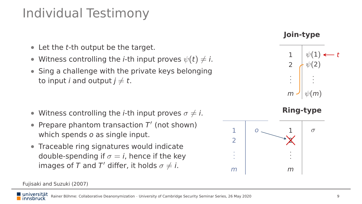### Individual Testimony

- Let the t-th output be the target.
- Witness controlling the *i*-th input proves  $\psi(t) \neq i$ .
- Sing a challenge with the private keys belonging to input *i* and output  $j \neq t$ .

- Witness controlling the *i*-th input proves  $\sigma \neq i$ .
- Prepare phantom transaction  $T'$  (not shown) which spends o as single input.
- Traceable ring signatures would indicate double-spending if  $\sigma = i$ , hence if the key images of T and T' differ, it holds  $\sigma \neq i$ .

#### Fujisaki and Suzuki (2007)



**Join-type**





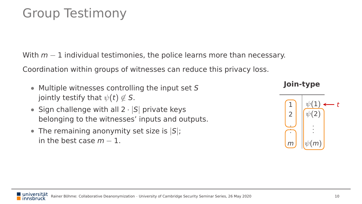### Group Testimony

With  $m-1$  individual testimonies, the police learns more than necessary.

Coordination within groups of witnesses can reduce this privacy loss.

- Multiple witnesses controlling the input set S jointly testify that  $\psi(t) \notin S$ .
- Sign challenge with all  $2 \cdot |S|$  private keys belonging to the witnesses' inputs and outputs.
- The remaining anonymity set size is  $|S|$ ; in the best case  $m = 1$ .

#### **Join-type**

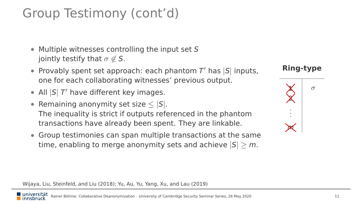### Group Testimony (cont'd)

- Multiple witnesses controlling the input set S jointly testify that  $\sigma \notin S$ .
- Provably spent set approach: each phantom  $T'$  has  $|S|$  inputs, one for each collaborating witnesses' previous output.
- All  $|S|$  T' have different key images.
- Remaining anonymity set size  $\leq |S|$ . The inequality is strict if outputs referenced in the phantom transactions have already been spent. They are linkable.
- Group testimonies can span multiple transactions at the same time, enabling to merge anonymity sets and achieve  $|S| > m$ .

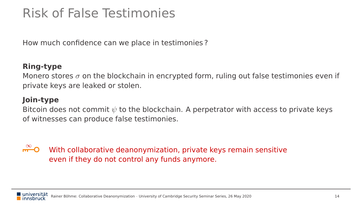### Risk of False Testimonies

How much confidence can we place in testimonies ?

#### **Ring-type**

Monero stores  $\sigma$  on the blockchain in encrypted form, ruling out false testimonies even if private keys are leaked or stolen.

#### **Join-type**

Bitcoin does not commit  $\psi$  to the blockchain. A perpetrator with access to private keys of witnesses can produce false testimonies.

#### ⊶ O With collaborative deanonymization, private keys remain sensitive even if they do not control any funds anymore.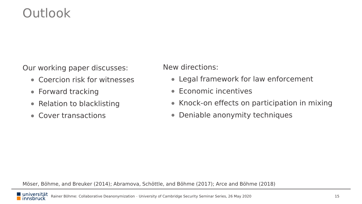#### Outlook

Our working paper discusses:

- Coercion risk for witnesses
- Forward tracking
- Relation to blacklisting
- Cover transactions

New directions:

- Legal framework for law enforcement
- Economic incentives
- Knock-on effects on participation in mixing
- Deniable anonymity techniques

Möser, Böhme, and Breuker (2014); Abramova, Schöttle, and Böhme (2017); Arce and Böhme (2018)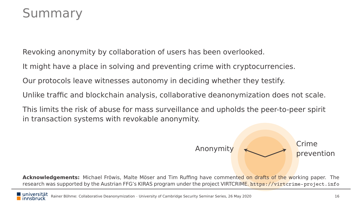#### Summary

Revoking anonymity by collaboration of users has been overlooked.

It might have a place in solving and preventing crime with cryptocurrencies.

Our protocols leave witnesses autonomy in deciding whether they testify.

Unlike traffic and blockchain analysis, collaborative deanonymization does not scale.

This limits the risk of abuse for mass surveillance and upholds the peer-to-peer spirit in transaction systems with revokable anonymity.

> Anonymity  $\leftarrow$  Crime prevention

**Acknowledgements:** Michael Fröwis, Malte Möser and Tim Ruffing have commented on drafts of the working paper. The research was supported by the Austrian FFG's KIRAS program under the project VIRTCRIME. <https://virtcrime-project.info>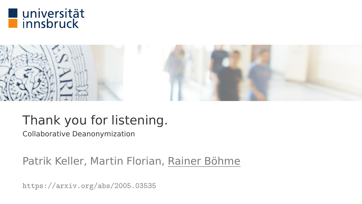



### Thank you for listening.

Collaborative Deanonymization

#### Patrik Keller, Martin Florian, Rainer Böhme

<https://arxiv.org/abs/2005.03535>